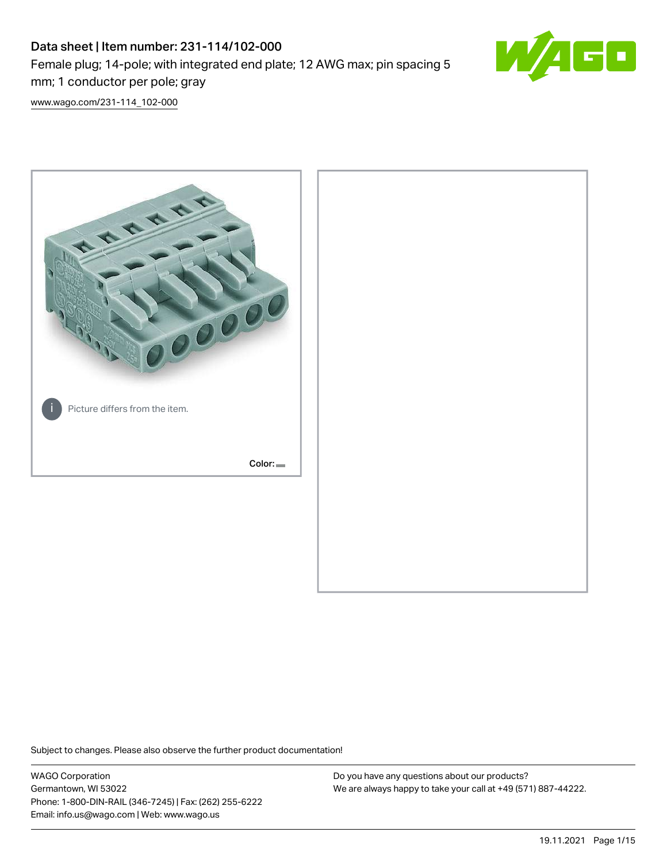# Data sheet | Item number: 231-114/102-000 Female plug; 14-pole; with integrated end plate; 12 AWG max; pin spacing 5 mm; 1 conductor per pole; gray



[www.wago.com/231-114\\_102-000](http://www.wago.com/231-114_102-000)



Subject to changes. Please also observe the further product documentation!

WAGO Corporation Germantown, WI 53022 Phone: 1-800-DIN-RAIL (346-7245) | Fax: (262) 255-6222 Email: info.us@wago.com | Web: www.wago.us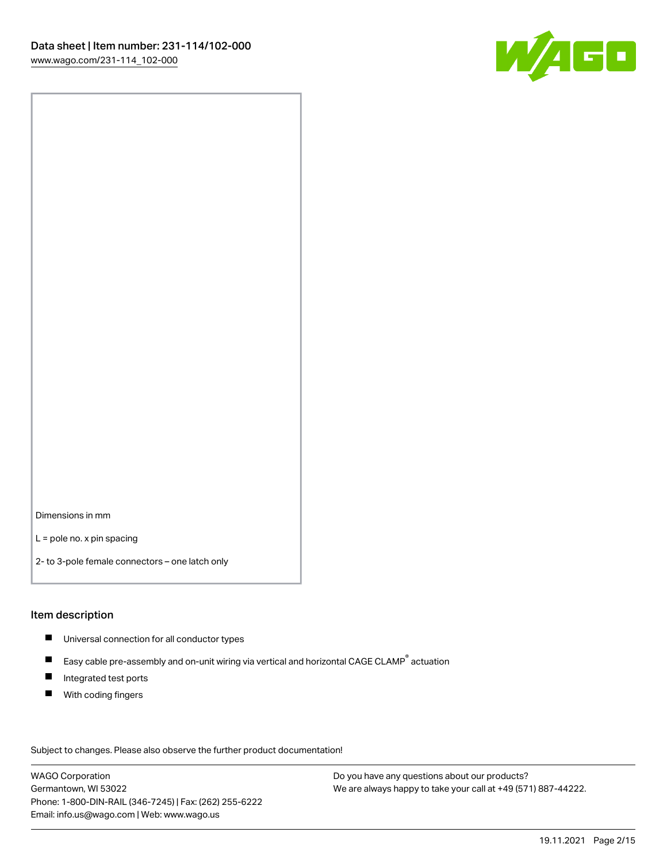

Dimensions in mm

L = pole no. x pin spacing

2- to 3-pole female connectors – one latch only

#### Item description

- **Universal connection for all conductor types**
- Easy cable pre-assembly and on-unit wiring via vertical and horizontal CAGE CLAMP<sup>®</sup> actuation  $\blacksquare$
- $\blacksquare$ Integrated test ports
- $\blacksquare$ With coding fingers

Subject to changes. Please also observe the further product documentation! Data

WAGO Corporation Germantown, WI 53022 Phone: 1-800-DIN-RAIL (346-7245) | Fax: (262) 255-6222 Email: info.us@wago.com | Web: www.wago.us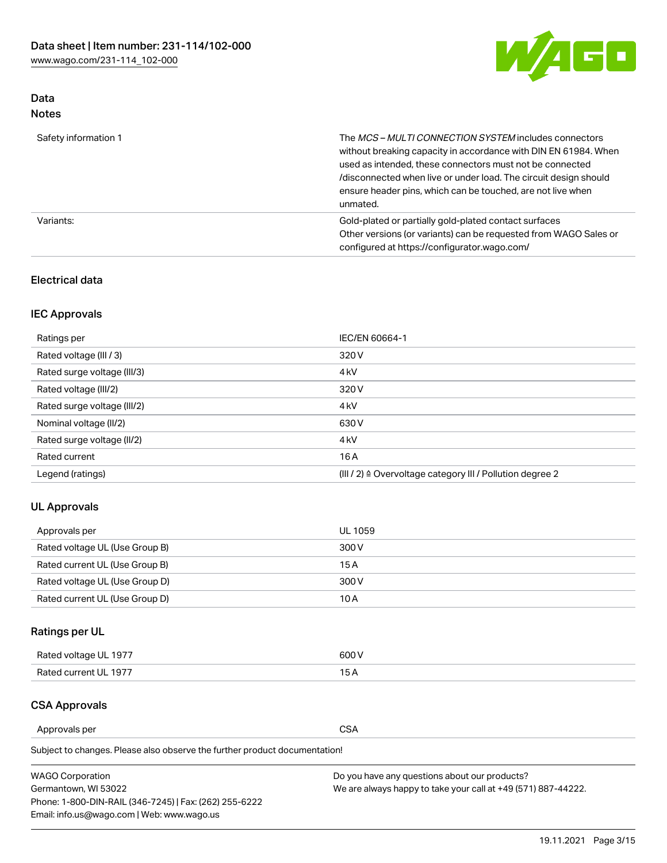

### Data Notes

| Safety information 1 | The MCS-MULTI CONNECTION SYSTEM includes connectors<br>without breaking capacity in accordance with DIN EN 61984. When<br>used as intended, these connectors must not be connected<br>/disconnected when live or under load. The circuit design should<br>ensure header pins, which can be touched, are not live when<br>unmated. |
|----------------------|-----------------------------------------------------------------------------------------------------------------------------------------------------------------------------------------------------------------------------------------------------------------------------------------------------------------------------------|
| Variants:            | Gold-plated or partially gold-plated contact surfaces<br>Other versions (or variants) can be requested from WAGO Sales or<br>configured at https://configurator.wago.com/                                                                                                                                                         |

### Electrical data

### IEC Approvals

| Ratings per                 | IEC/EN 60664-1                                                        |  |
|-----------------------------|-----------------------------------------------------------------------|--|
| Rated voltage (III / 3)     | 320 V                                                                 |  |
| Rated surge voltage (III/3) | 4 <sub>k</sub> V                                                      |  |
| Rated voltage (III/2)       | 320 V                                                                 |  |
| Rated surge voltage (III/2) | 4 <sub>k</sub> V                                                      |  |
| Nominal voltage (II/2)      | 630 V                                                                 |  |
| Rated surge voltage (II/2)  | 4 <sub>k</sub> V                                                      |  |
| Rated current               | 16A                                                                   |  |
| Legend (ratings)            | $(III / 2)$ $\triangle$ Overvoltage category III / Pollution degree 2 |  |

### UL Approvals

| Approvals per                  | UL 1059 |
|--------------------------------|---------|
| Rated voltage UL (Use Group B) | 300 V   |
| Rated current UL (Use Group B) | 15 A    |
| Rated voltage UL (Use Group D) | 300 V   |
| Rated current UL (Use Group D) | 10 A    |

### Ratings per UL

| Rated voltage UL 1977 | 600 V         |
|-----------------------|---------------|
| Rated current UL 1977 | $\sim$ $\sim$ |

### CSA Approvals

Approvals per CSA

Subject to changes. Please also observe the further product documentation!

| <b>WAGO Corporation</b>                                | Do you have any questions about our products?                 |
|--------------------------------------------------------|---------------------------------------------------------------|
| Germantown, WI 53022                                   | We are always happy to take your call at +49 (571) 887-44222. |
| Phone: 1-800-DIN-RAIL (346-7245)   Fax: (262) 255-6222 |                                                               |
| Email: info.us@wago.com   Web: www.wago.us             |                                                               |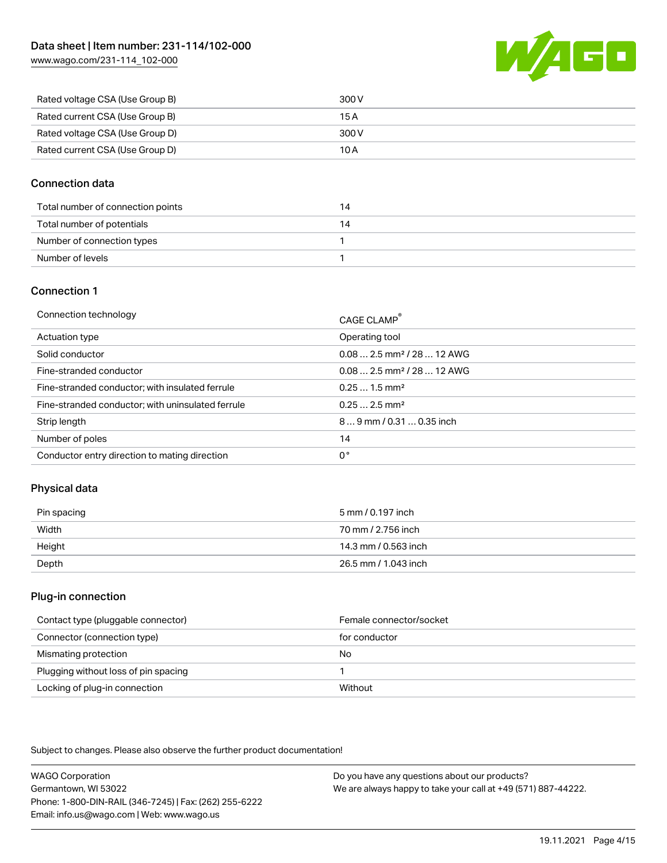[www.wago.com/231-114\\_102-000](http://www.wago.com/231-114_102-000)



| Rated voltage CSA (Use Group B) | 300 V |
|---------------------------------|-------|
| Rated current CSA (Use Group B) | 15 A  |
| Rated voltage CSA (Use Group D) | 300 V |
| Rated current CSA (Use Group D) | 10 A  |

#### Connection data

| Total number of connection points |  |
|-----------------------------------|--|
| Total number of potentials        |  |
| Number of connection types        |  |
| Number of levels                  |  |

#### Connection 1

| Connection technology                             | CAGE CLAMP®                             |
|---------------------------------------------------|-----------------------------------------|
| Actuation type                                    | Operating tool                          |
| Solid conductor                                   | $0.082.5$ mm <sup>2</sup> / 28  12 AWG  |
| Fine-stranded conductor                           | $0.08$ 2.5 mm <sup>2</sup> / 28  12 AWG |
| Fine-stranded conductor; with insulated ferrule   | $0.251.5$ mm <sup>2</sup>               |
| Fine-stranded conductor; with uninsulated ferrule | $0.252.5$ mm <sup>2</sup>               |
| Strip length                                      | $89$ mm $/ 0.310.35$ inch               |
| Number of poles                                   | 14                                      |
| Conductor entry direction to mating direction     | 0°                                      |

### Physical data

| Pin spacing | 5 mm / 0.197 inch    |
|-------------|----------------------|
| Width       | 70 mm / 2.756 inch   |
| Height      | 14.3 mm / 0.563 inch |
| Depth       | 26.5 mm / 1.043 inch |

#### Plug-in connection

| Contact type (pluggable connector)   | Female connector/socket |
|--------------------------------------|-------------------------|
| Connector (connection type)          | for conductor           |
| Mismating protection                 | No                      |
| Plugging without loss of pin spacing |                         |
| Locking of plug-in connection        | Without                 |

Subject to changes. Please also observe the further product documentation!

WAGO Corporation Germantown, WI 53022 Phone: 1-800-DIN-RAIL (346-7245) | Fax: (262) 255-6222 Email: info.us@wago.com | Web: www.wago.us Do you have any questions about our products? We are always happy to take your call at +49 (571) 887-44222.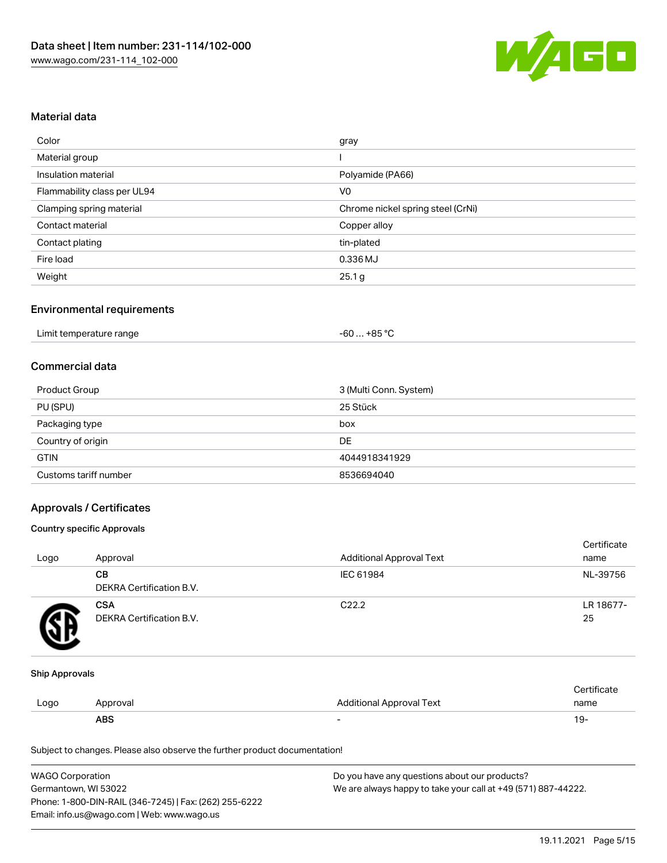

#### Material data

| Color                       | gray                              |
|-----------------------------|-----------------------------------|
| Material group              |                                   |
| Insulation material         | Polyamide (PA66)                  |
| Flammability class per UL94 | V <sub>0</sub>                    |
| Clamping spring material    | Chrome nickel spring steel (CrNi) |
| Contact material            | Copper alloy                      |
| Contact plating             | tin-plated                        |
| Fire load                   | 0.336 MJ                          |
| Weight                      | 25.1 g                            |

#### Environmental requirements

| Limit temperature range<br>$\blacksquare$ . The contract of the contract of the contract of the contract of the contract of the contract of the contract of the contract of the contract of the contract of the contract of the contract of the contract of the | . +85 °C<br>-60 |  |
|-----------------------------------------------------------------------------------------------------------------------------------------------------------------------------------------------------------------------------------------------------------------|-----------------|--|
|-----------------------------------------------------------------------------------------------------------------------------------------------------------------------------------------------------------------------------------------------------------------|-----------------|--|

#### Commercial data

| Product Group         | 3 (Multi Conn. System) |
|-----------------------|------------------------|
| PU (SPU)              | 25 Stück               |
| Packaging type        | box                    |
| Country of origin     | DE                     |
| <b>GTIN</b>           | 4044918341929          |
| Customs tariff number | 8536694040             |

#### Approvals / Certificates

#### Country specific Approvals

| Logo | Approval                               | <b>Additional Approval Text</b> | Certificate<br>name |
|------|----------------------------------------|---------------------------------|---------------------|
|      | CВ<br>DEKRA Certification B.V.         | IEC 61984                       | NL-39756            |
|      | <b>CSA</b><br>DEKRA Certification B.V. | C <sub>22.2</sub>               | LR 18677-<br>25     |

#### Ship Approvals

|      | ABS      |                          | - ك ا       |
|------|----------|--------------------------|-------------|
| Logo | Approval | Additional Approval Text | name        |
|      |          |                          | ∵ertificate |

Subject to changes. Please also observe the further product documentation!

| <b>WAGO Corporation</b>                                | Do you have any questions about our products?                 |
|--------------------------------------------------------|---------------------------------------------------------------|
| Germantown, WI 53022                                   | We are always happy to take your call at +49 (571) 887-44222. |
| Phone: 1-800-DIN-RAIL (346-7245)   Fax: (262) 255-6222 |                                                               |
| Email: info.us@wago.com   Web: www.wago.us             |                                                               |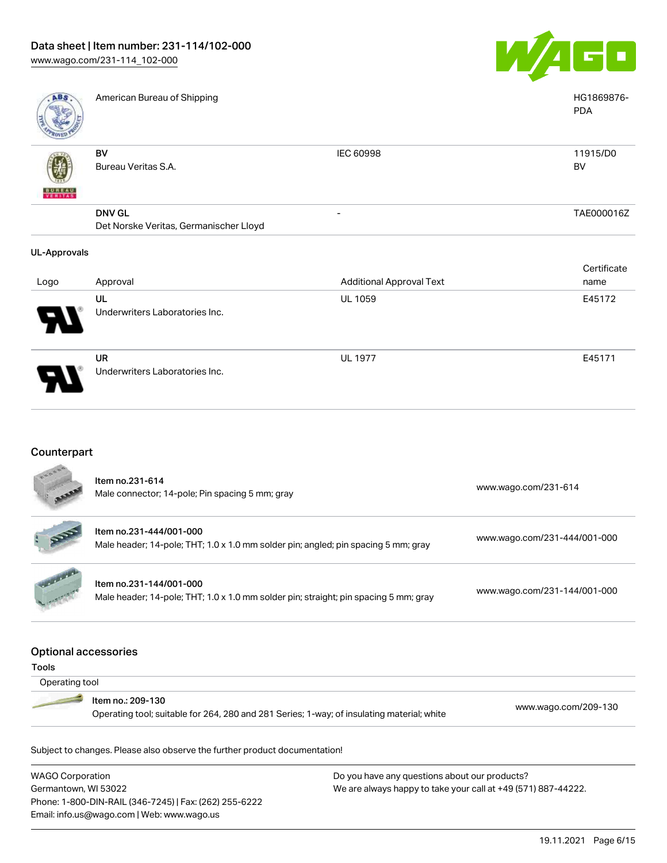Underwriters Laboratories Inc.



| <b>ABS</b>               | American Bureau of Shipping                             |                                 | HG1869876-<br><b>PDA</b> |
|--------------------------|---------------------------------------------------------|---------------------------------|--------------------------|
| <b>BUNEAU</b><br>VERITAS | <b>BV</b><br>Bureau Veritas S.A.                        | IEC 60998                       | 11915/D0<br><b>BV</b>    |
|                          | <b>DNV GL</b><br>Det Norske Veritas, Germanischer Lloyd | -                               | TAE000016Z               |
| <b>UL-Approvals</b>      |                                                         |                                 |                          |
|                          |                                                         |                                 | Certificate              |
| Logo                     | Approval                                                | <b>Additional Approval Text</b> | name                     |
|                          | UL                                                      | <b>UL 1059</b>                  | E45172                   |
|                          | Underwriters Laboratories Inc.                          |                                 |                          |
|                          | <b>UR</b>                                               | <b>UL 1977</b>                  | E45171                   |

### Counterpart

71

|                             | Item no.231-614<br>Male connector; 14-pole; Pin spacing 5 mm; gray                                              | www.wago.com/231-614         |
|-----------------------------|-----------------------------------------------------------------------------------------------------------------|------------------------------|
|                             | Item no.231-444/001-000<br>Male header; 14-pole; THT; 1.0 x 1.0 mm solder pin; angled; pin spacing 5 mm; gray   | www.wago.com/231-444/001-000 |
|                             | Item no.231-144/001-000<br>Male header; 14-pole; THT; 1.0 x 1.0 mm solder pin; straight; pin spacing 5 mm; gray | www.wago.com/231-144/001-000 |
| <b>Optional accessories</b> |                                                                                                                 |                              |
| <b>Tools</b>                |                                                                                                                 |                              |
| Operating tool              |                                                                                                                 |                              |
|                             | Item no.: 209-130                                                                                               |                              |
|                             | Operating tool; suitable for 264, 280 and 281 Series; 1-way; of insulating material; white                      | www.wago.com/209-130         |
|                             | Subject to changes. Please also observe the further product documentation!                                      |                              |

WAGO Corporation Germantown, WI 53022 Phone: 1-800-DIN-RAIL (346-7245) | Fax: (262) 255-6222 Email: info.us@wago.com | Web: www.wago.us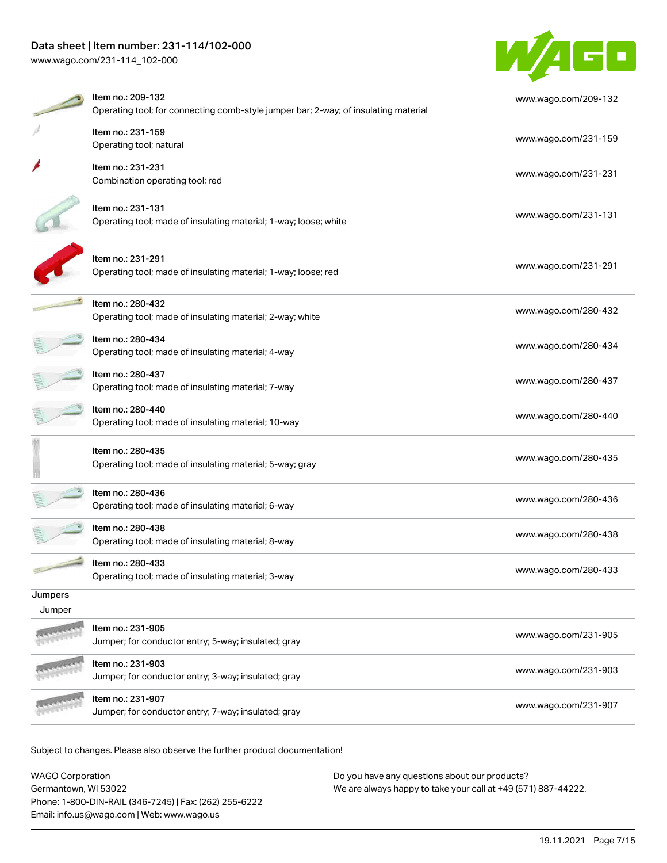### Data sheet | Item number: 231-114/102-000

[www.wago.com/231-114\\_102-000](http://www.wago.com/231-114_102-000)



|         | Item no.: 209-132                                                                   | www.wago.com/209-132 |
|---------|-------------------------------------------------------------------------------------|----------------------|
|         | Operating tool; for connecting comb-style jumper bar; 2-way; of insulating material |                      |
|         | Item no.: 231-159                                                                   |                      |
|         | Operating tool; natural                                                             | www.wago.com/231-159 |
|         | Item no.: 231-231                                                                   | www.wago.com/231-231 |
|         | Combination operating tool; red                                                     |                      |
|         | Item no.: 231-131                                                                   |                      |
|         | Operating tool; made of insulating material; 1-way; loose; white                    | www.wago.com/231-131 |
|         | Item no.: 231-291                                                                   |                      |
|         | Operating tool; made of insulating material; 1-way; loose; red                      | www.wago.com/231-291 |
|         | Item no.: 280-432                                                                   | www.wago.com/280-432 |
|         | Operating tool; made of insulating material; 2-way; white                           |                      |
|         | Item no.: 280-434                                                                   | www.wago.com/280-434 |
|         | Operating tool; made of insulating material; 4-way                                  |                      |
|         | Item no.: 280-437                                                                   | www.wago.com/280-437 |
|         | Operating tool; made of insulating material; 7-way                                  |                      |
|         | Item no.: 280-440                                                                   | www.wago.com/280-440 |
|         | Operating tool; made of insulating material; 10-way                                 |                      |
|         | Item no.: 280-435                                                                   |                      |
|         | Operating tool; made of insulating material; 5-way; gray                            | www.wago.com/280-435 |
|         | Item no.: 280-436                                                                   |                      |
|         | Operating tool; made of insulating material; 6-way                                  | www.wago.com/280-436 |
|         | Item no.: 280-438                                                                   | www.wago.com/280-438 |
|         | Operating tool; made of insulating material; 8-way                                  |                      |
|         | ltem no.: 280-433                                                                   | www.wago.com/280-433 |
|         | Operating tool; made of insulating material; 3-way                                  |                      |
| Jumpers |                                                                                     |                      |
| Jumper  |                                                                                     |                      |
|         | Item no.: 231-905<br>Jumper; for conductor entry; 5-way; insulated; gray            | www.wago.com/231-905 |
|         |                                                                                     |                      |
|         | Item no.: 231-903<br>Jumper; for conductor entry; 3-way; insulated; gray            | www.wago.com/231-903 |
|         |                                                                                     |                      |
|         | Item no.: 231-907                                                                   | www.wago.com/231-907 |
|         | Jumper; for conductor entry; 7-way; insulated; gray                                 |                      |

Subject to changes. Please also observe the further product documentation!

| <b>WAGO Corporation</b>                                | Do you have any questions about our products?                 |
|--------------------------------------------------------|---------------------------------------------------------------|
| Germantown, WI 53022                                   | We are always happy to take your call at +49 (571) 887-44222. |
| Phone: 1-800-DIN-RAIL (346-7245)   Fax: (262) 255-6222 |                                                               |
| Email: info.us@wago.com   Web: www.wago.us             |                                                               |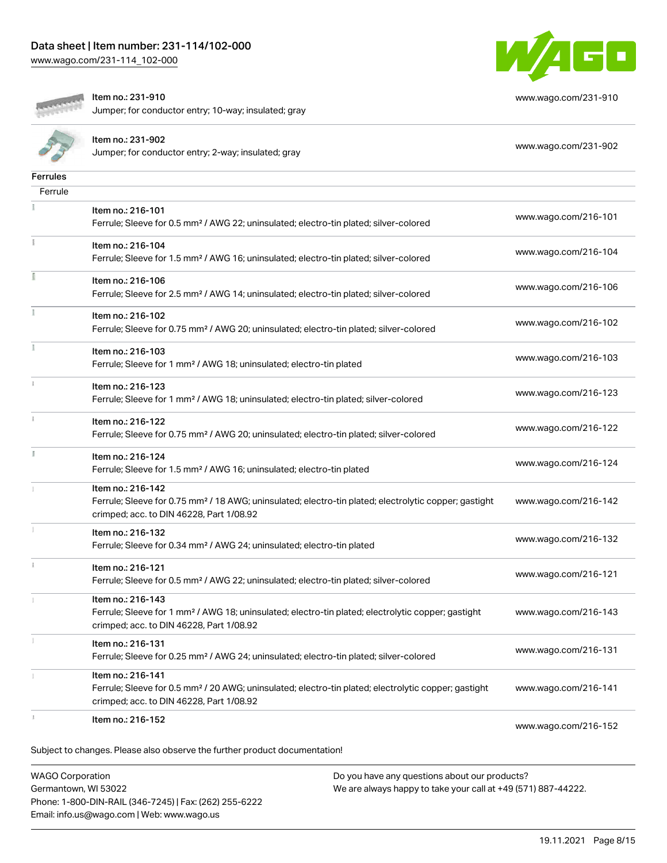[www.wago.com/231-114\\_102-000](http://www.wago.com/231-114_102-000)



[www.wago.com/231-910](http://www.wago.com/231-910)



Item no.: 231-910

Jumper; for conductor entry; 10-way; insulated; gray

|                 | Item no.: 231-902<br>Jumper; for conductor entry; 2-way; insulated; gray                                                                                                           | www.wago.com/231-902 |
|-----------------|------------------------------------------------------------------------------------------------------------------------------------------------------------------------------------|----------------------|
| <b>Ferrules</b> |                                                                                                                                                                                    |                      |
| Ferrule         |                                                                                                                                                                                    |                      |
|                 | Item no.: 216-101<br>Ferrule; Sleeve for 0.5 mm <sup>2</sup> / AWG 22; uninsulated; electro-tin plated; silver-colored                                                             | www.wago.com/216-101 |
|                 | Item no.: 216-104<br>Ferrule; Sleeve for 1.5 mm <sup>2</sup> / AWG 16; uninsulated; electro-tin plated; silver-colored                                                             | www.wago.com/216-104 |
|                 | Item no.: 216-106<br>Ferrule; Sleeve for 2.5 mm <sup>2</sup> / AWG 14; uninsulated; electro-tin plated; silver-colored                                                             | www.wago.com/216-106 |
|                 | Item no.: 216-102<br>Ferrule; Sleeve for 0.75 mm <sup>2</sup> / AWG 20; uninsulated; electro-tin plated; silver-colored                                                            | www.wago.com/216-102 |
|                 | Item no.: 216-103<br>Ferrule; Sleeve for 1 mm <sup>2</sup> / AWG 18; uninsulated; electro-tin plated                                                                               | www.wago.com/216-103 |
|                 | Item no.: 216-123<br>Ferrule; Sleeve for 1 mm <sup>2</sup> / AWG 18; uninsulated; electro-tin plated; silver-colored                                                               | www.wago.com/216-123 |
|                 | Item no.: 216-122<br>Ferrule; Sleeve for 0.75 mm <sup>2</sup> / AWG 20; uninsulated; electro-tin plated; silver-colored                                                            | www.wago.com/216-122 |
| I.              | Item no.: 216-124<br>Ferrule; Sleeve for 1.5 mm <sup>2</sup> / AWG 16; uninsulated; electro-tin plated                                                                             | www.wago.com/216-124 |
|                 | Item no.: 216-142<br>Ferrule; Sleeve for 0.75 mm <sup>2</sup> / 18 AWG; uninsulated; electro-tin plated; electrolytic copper; gastight<br>crimped; acc. to DIN 46228, Part 1/08.92 | www.wago.com/216-142 |
|                 | Item no.: 216-132<br>Ferrule; Sleeve for 0.34 mm <sup>2</sup> / AWG 24; uninsulated; electro-tin plated                                                                            | www.wago.com/216-132 |
|                 | Item no.: 216-121<br>Ferrule; Sleeve for 0.5 mm <sup>2</sup> / AWG 22; uninsulated; electro-tin plated; silver-colored                                                             | www.wago.com/216-121 |
|                 | Item no.: 216-143<br>Ferrule; Sleeve for 1 mm <sup>2</sup> / AWG 18; uninsulated; electro-tin plated; electrolytic copper; gastight<br>crimped; acc. to DIN 46228, Part 1/08.92    | www.wago.com/216-143 |
|                 | Item no.: 216-131<br>Ferrule; Sleeve for 0.25 mm <sup>2</sup> / AWG 24; uninsulated; electro-tin plated; silver-colored                                                            | www.wago.com/216-131 |
|                 | Item no.: 216-141<br>Ferrule; Sleeve for 0.5 mm <sup>2</sup> / 20 AWG; uninsulated; electro-tin plated; electrolytic copper; gastight<br>crimped; acc. to DIN 46228, Part 1/08.92  | www.wago.com/216-141 |
|                 | Item no.: 216-152                                                                                                                                                                  | www.wago.com/216-152 |
|                 | Subject to changes. Please also observe the further product documentation!                                                                                                         |                      |

WAGO Corporation Germantown, WI 53022 Phone: 1-800-DIN-RAIL (346-7245) | Fax: (262) 255-6222 Email: info.us@wago.com | Web: www.wago.us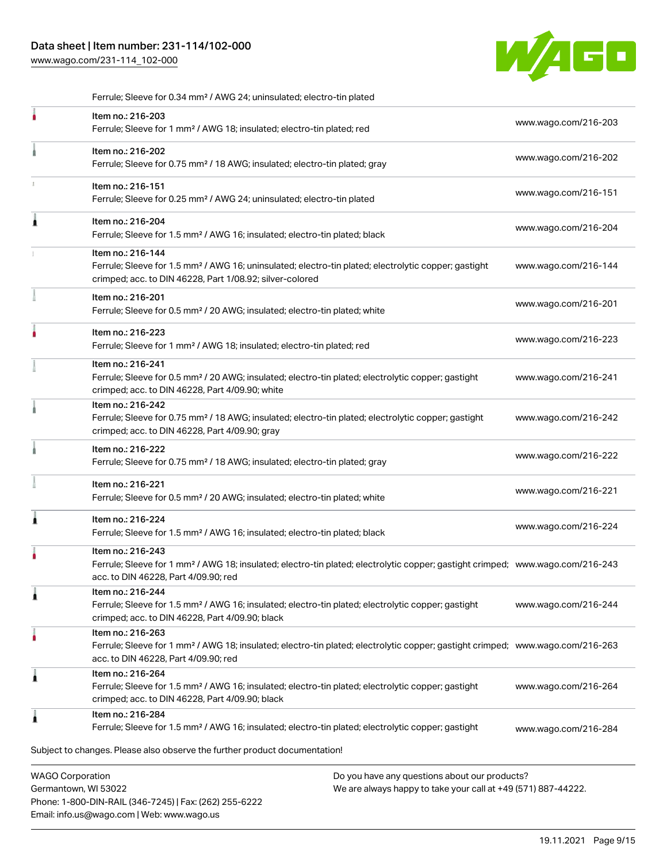#### Data sheet | Item number: 231-114/102-000

Phone: 1-800-DIN-RAIL (346-7245) | Fax: (262) 255-6222

Email: info.us@wago.com | Web: www.wago.us

[www.wago.com/231-114\\_102-000](http://www.wago.com/231-114_102-000)



.<br>Subject to changes. Please also observe the further product documentation! WAGO Corporation Germantown, WI 53022 Do you have any questions about our products? We are always happy to take your call at +49 (571) 887-44222. Ferrule; Sleeve for 0.34 mm² / AWG 24; uninsulated; electro-tin plated Item no.: 216-203 Ferrule; Sleeve for 1 mm² / AWG 18; insulated; electro-tin plated; red [www.wago.com/216-203](http://www.wago.com/216-203) Item no.: 216-202 Ferrule; Sleeve for 0.75 mm² / 18 AWG; insulated; electro-tin plated; gray [www.wago.com/216-202](http://www.wago.com/216-202) Item no.: 216-151 Ferrule; Sleeve for 0.25 mm² / AWG 24; uninsulated; electro-tin plated [www.wago.com/216-151](http://www.wago.com/216-151) Item no.: 216-204 Ferrule; Sleeve for 1.5 mm² / AWG 16; insulated; electro-tin plated; black [www.wago.com/216-204](http://www.wago.com/216-204) Item no.: 216-144 Ferrule; Sleeve for 1.5 mm² / AWG 16; uninsulated; electro-tin plated; electrolytic copper; gastight crimped; acc. to DIN 46228, Part 1/08.92; silver-colored [www.wago.com/216-144](http://www.wago.com/216-144) Item no.: 216-201 Ferrule; Sleeve for 0.5 mm² / 20 AWG; insulated; electro-tin plated; white [www.wago.com/216-201](http://www.wago.com/216-201) Item no.: 216-223 Ferrule; Sleeve for 1 mm² / AWG 18; insulated; electro-tin plated; red [www.wago.com/216-223](http://www.wago.com/216-223) Item no.: 216-241 Ferrule; Sleeve for 0.5 mm² / 20 AWG; insulated; electro-tin plated; electrolytic copper; gastight crimped; acc. to DIN 46228, Part 4/09.90; white [www.wago.com/216-241](http://www.wago.com/216-241) Item no.: 216-242 Ferrule; Sleeve for 0.75 mm<sup>2</sup> / 18 AWG; insulated; electro-tin plated; electrolytic copper; gastight crimped; acc. to DIN 46228, Part 4/09.90; gray [www.wago.com/216-242](http://www.wago.com/216-242) Item no.: 216-222 Ferrule; Sleeve for 0.75 mm² / 18 AWG; insulated; electro-tin plated; gray [www.wago.com/216-222](http://www.wago.com/216-222) Item no.: 216-221 Ferrule; Sleeve for 0.5 mm² / 20 AWG; insulated; electro-tin plated; white [www.wago.com/216-221](http://www.wago.com/216-221) Item no.: 216-224 Ferrule; Sleeve for 1.5 mm² / AWG 16; insulated; electro-tin plated; black [www.wago.com/216-224](http://www.wago.com/216-224) Item no.: 216-243 Ferrule; Sleeve for 1 mm² / AWG 18; insulated; electro-tin plated; electrolytic copper; gastight crimped; [www.wago.com/216-243](http://www.wago.com/216-243) acc. to DIN 46228, Part 4/09.90; red Item no.: 216-244 Ferrule; Sleeve for 1.5 mm² / AWG 16; insulated; electro-tin plated; electrolytic copper; gastight crimped; acc. to DIN 46228, Part 4/09.90; black [www.wago.com/216-244](http://www.wago.com/216-244) Item no.: 216-263 Ferrule; Sleeve for 1 mm² / AWG 18; insulated; electro-tin plated; electrolytic copper; gastight crimped; [www.wago.com/216-263](http://www.wago.com/216-263) acc. to DIN 46228, Part 4/09.90; red Item no.: 216-264 Ferrule; Sleeve for 1.5 mm² / AWG 16; insulated; electro-tin plated; electrolytic copper; gastight crimped; acc. to DIN 46228, Part 4/09.90; black [www.wago.com/216-264](http://www.wago.com/216-264) Item no.: 216-284 Ferrule; Sleeve for 1.5 mm² / AWG 16; insulated; electro-tin plated; electrolytic copper; gastight [www.wago.com/216-284](http://www.wago.com/216-284)

19.11.2021 Page 9/15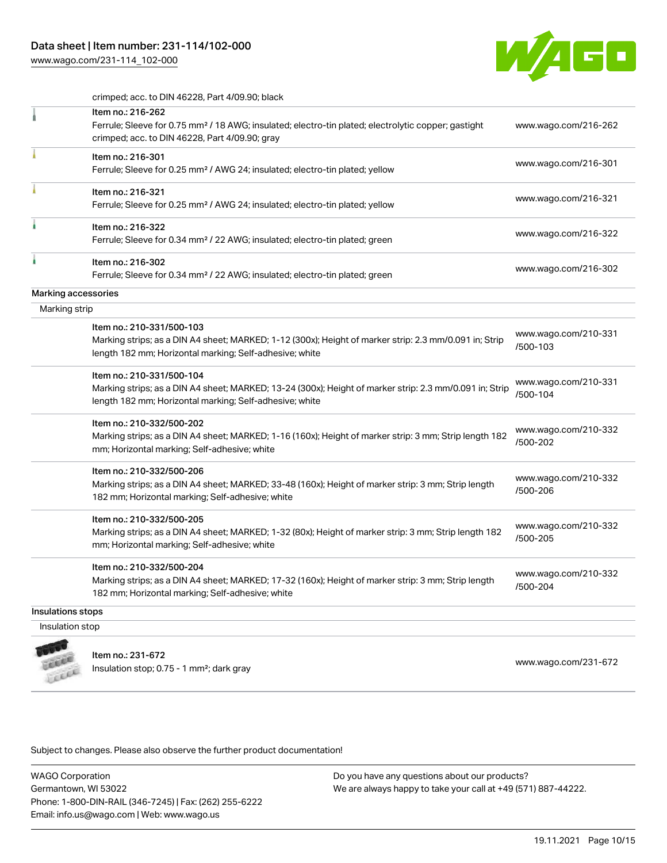[www.wago.com/231-114\\_102-000](http://www.wago.com/231-114_102-000)



crimped; acc. to DIN 46228, Part 4/09.90; black

|                     | Item no.: 216-262                                                                                                                                                 |                                  |
|---------------------|-------------------------------------------------------------------------------------------------------------------------------------------------------------------|----------------------------------|
|                     | Ferrule; Sleeve for 0.75 mm <sup>2</sup> / 18 AWG; insulated; electro-tin plated; electrolytic copper; gastight<br>crimped; acc. to DIN 46228, Part 4/09.90; gray | www.wago.com/216-262             |
|                     | Item no.: 216-301                                                                                                                                                 |                                  |
|                     | Ferrule; Sleeve for 0.25 mm <sup>2</sup> / AWG 24; insulated; electro-tin plated; yellow                                                                          | www.wago.com/216-301             |
|                     | Item no.: 216-321                                                                                                                                                 |                                  |
|                     | Ferrule; Sleeve for 0.25 mm <sup>2</sup> / AWG 24; insulated; electro-tin plated; yellow                                                                          | www.wago.com/216-321             |
|                     | Item no.: 216-322                                                                                                                                                 |                                  |
|                     | Ferrule; Sleeve for 0.34 mm <sup>2</sup> / 22 AWG; insulated; electro-tin plated; green                                                                           | www.wago.com/216-322             |
|                     | Item no.: 216-302                                                                                                                                                 | www.wago.com/216-302             |
|                     | Ferrule; Sleeve for 0.34 mm <sup>2</sup> / 22 AWG; insulated; electro-tin plated; green                                                                           |                                  |
| Marking accessories |                                                                                                                                                                   |                                  |
| Marking strip       |                                                                                                                                                                   |                                  |
|                     | Item no.: 210-331/500-103                                                                                                                                         | www.wago.com/210-331             |
|                     | Marking strips; as a DIN A4 sheet; MARKED; 1-12 (300x); Height of marker strip: 2.3 mm/0.091 in; Strip                                                            | /500-103                         |
|                     | length 182 mm; Horizontal marking; Self-adhesive; white                                                                                                           |                                  |
|                     | Item no.: 210-331/500-104                                                                                                                                         | www.wago.com/210-331             |
|                     | Marking strips; as a DIN A4 sheet; MARKED; 13-24 (300x); Height of marker strip: 2.3 mm/0.091 in; Strip                                                           | /500-104                         |
|                     | length 182 mm; Horizontal marking; Self-adhesive; white                                                                                                           |                                  |
|                     | Item no.: 210-332/500-202                                                                                                                                         |                                  |
|                     | Marking strips; as a DIN A4 sheet; MARKED; 1-16 (160x); Height of marker strip: 3 mm; Strip length 182                                                            | www.wago.com/210-332<br>/500-202 |
|                     | mm; Horizontal marking; Self-adhesive; white                                                                                                                      |                                  |
|                     | Item no.: 210-332/500-206                                                                                                                                         |                                  |
|                     | Marking strips; as a DIN A4 sheet; MARKED; 33-48 (160x); Height of marker strip: 3 mm; Strip length                                                               | www.wago.com/210-332<br>/500-206 |
|                     | 182 mm; Horizontal marking; Self-adhesive; white                                                                                                                  |                                  |
|                     | Item no.: 210-332/500-205                                                                                                                                         |                                  |
|                     | Marking strips; as a DIN A4 sheet; MARKED; 1-32 (80x); Height of marker strip: 3 mm; Strip length 182                                                             | www.wago.com/210-332<br>/500-205 |
|                     | mm; Horizontal marking; Self-adhesive; white                                                                                                                      |                                  |
|                     | Item no.: 210-332/500-204                                                                                                                                         |                                  |
|                     | Marking strips; as a DIN A4 sheet; MARKED; 17-32 (160x); Height of marker strip: 3 mm; Strip length                                                               | www.wago.com/210-332<br>/500-204 |
|                     | 182 mm; Horizontal marking; Self-adhesive; white                                                                                                                  |                                  |
| Insulations stops   |                                                                                                                                                                   |                                  |
| Insulation stop     |                                                                                                                                                                   |                                  |
|                     |                                                                                                                                                                   |                                  |
|                     | Item no.: 231-672                                                                                                                                                 | www.wago.com/231-672             |
|                     | Insulation stop; 0.75 - 1 mm <sup>2</sup> ; dark gray                                                                                                             |                                  |

Subject to changes. Please also observe the further product documentation!

WAGO Corporation Germantown, WI 53022 Phone: 1-800-DIN-RAIL (346-7245) | Fax: (262) 255-6222 Email: info.us@wago.com | Web: www.wago.us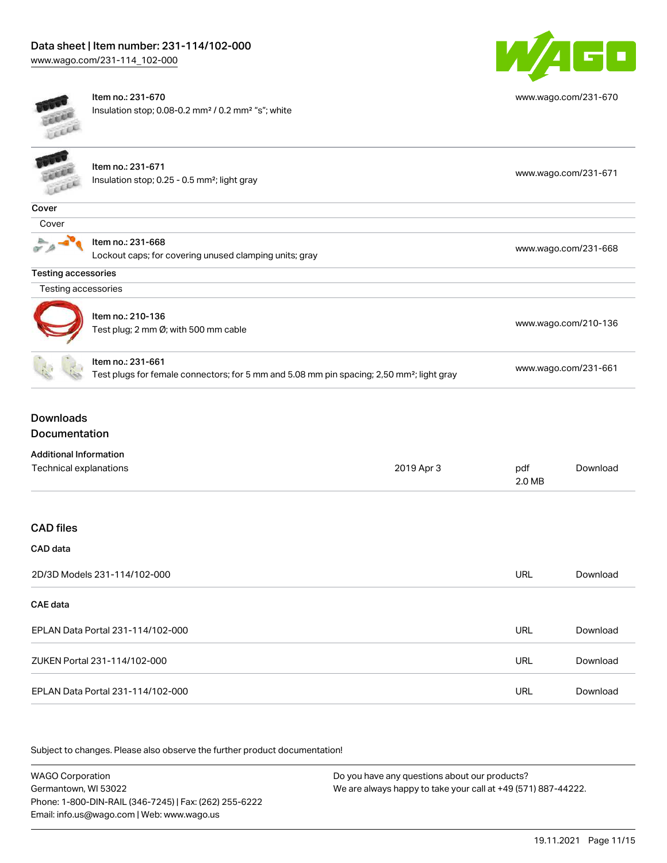

[www.wago.com/231-670](http://www.wago.com/231-670)



Item no.: 231-670 Insulation stop; 0.08-0.2 mm² / 0.2 mm² "s"; white

|                            | Item no.: 231-671<br>Insulation stop; 0.25 - 0.5 mm <sup>2</sup> ; light gray                                              | www.wago.com/231-671 |
|----------------------------|----------------------------------------------------------------------------------------------------------------------------|----------------------|
| Cover                      |                                                                                                                            |                      |
| Cover                      |                                                                                                                            |                      |
|                            | Item no.: 231-668<br>Lockout caps; for covering unused clamping units; gray                                                | www.wago.com/231-668 |
| <b>Testing accessories</b> |                                                                                                                            |                      |
| Testing accessories        |                                                                                                                            |                      |
|                            | Item no.: 210-136<br>Test plug; 2 mm Ø; with 500 mm cable                                                                  | www.wago.com/210-136 |
|                            | Item no.: 231-661<br>Test plugs for female connectors; for 5 mm and 5.08 mm pin spacing; 2,50 mm <sup>2</sup> ; light gray | www.wago.com/231-661 |
| Downloads<br>Documentation |                                                                                                                            |                      |

|  | Additional Information |  |  |
|--|------------------------|--|--|
|--|------------------------|--|--|

| Technical explanations            | 2019 Apr 3 | pdf<br>2.0 MB | Download |
|-----------------------------------|------------|---------------|----------|
|                                   |            |               |          |
| <b>CAD files</b>                  |            |               |          |
| CAD data                          |            |               |          |
| 2D/3D Models 231-114/102-000      |            | <b>URL</b>    | Download |
| CAE data                          |            |               |          |
| EPLAN Data Portal 231-114/102-000 |            | <b>URL</b>    | Download |
| ZUKEN Portal 231-114/102-000      |            | <b>URL</b>    | Download |
| EPLAN Data Portal 231-114/102-000 |            | <b>URL</b>    | Download |

Subject to changes. Please also observe the further product documentation!

WAGO Corporation Germantown, WI 53022 Phone: 1-800-DIN-RAIL (346-7245) | Fax: (262) 255-6222 Email: info.us@wago.com | Web: www.wago.us Do you have any questions about our products? We are always happy to take your call at +49 (571) 887-44222.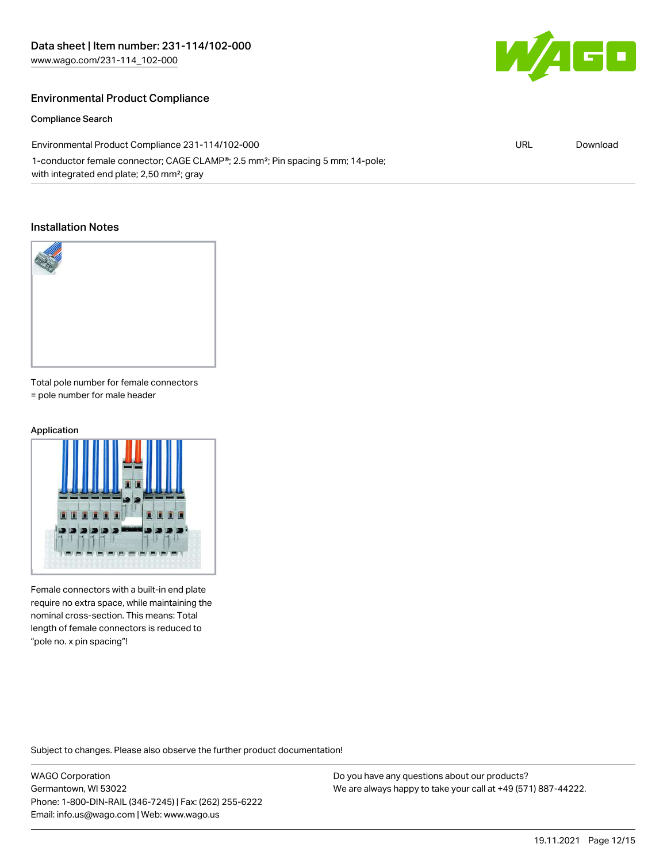

#### Compliance Search

60

| Environmental Product Compliance 231-114/102-000                                                         | URL | Download |
|----------------------------------------------------------------------------------------------------------|-----|----------|
| 1-conductor female connector; CAGE CLAMP <sup>®</sup> ; 2.5 mm <sup>2</sup> ; Pin spacing 5 mm; 14-pole; |     |          |
| with integrated end plate; 2,50 mm <sup>2</sup> ; gray                                                   |     |          |

#### Installation Notes



Total pole number for female connectors = pole number for male header

## Application



Female connectors with a built-in end plate require no extra space, while maintaining the nominal cross-section. This means: Total length of female connectors is reduced to "pole no. x pin spacing"!

Subject to changes. Please also observe the further product documentation!

WAGO Corporation Germantown, WI 53022 Phone: 1-800-DIN-RAIL (346-7245) | Fax: (262) 255-6222 Email: info.us@wago.com | Web: www.wago.us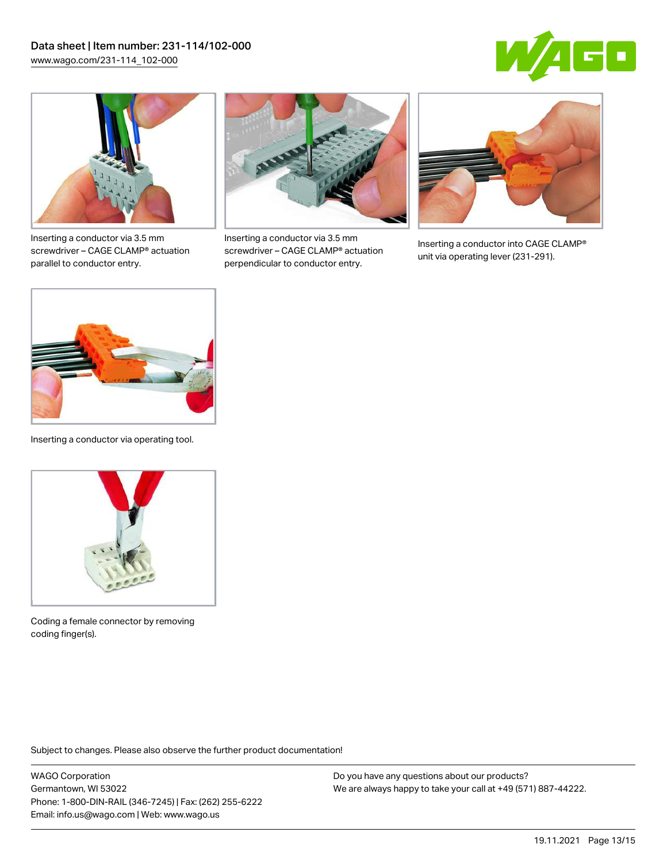



Inserting a conductor via 3.5 mm screwdriver – CAGE CLAMP® actuation parallel to conductor entry.



Inserting a conductor via 3.5 mm screwdriver – CAGE CLAMP® actuation perpendicular to conductor entry.



Inserting a conductor into CAGE CLAMP® unit via operating lever (231-291).



Inserting a conductor via operating tool.



Coding a female connector by removing coding finger(s).

Subject to changes. Please also observe the further product documentation!

WAGO Corporation Germantown, WI 53022 Phone: 1-800-DIN-RAIL (346-7245) | Fax: (262) 255-6222 Email: info.us@wago.com | Web: www.wago.us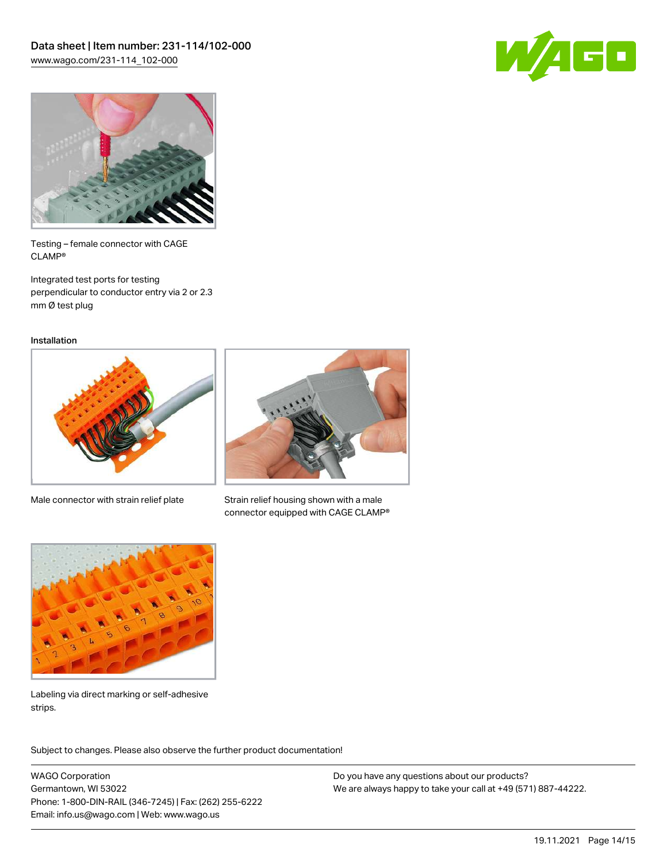



Testing – female connector with CAGE CLAMP®

Integrated test ports for testing perpendicular to conductor entry via 2 or 2.3 mm Ø test plug

Installation



Male connector with strain relief plate



Strain relief housing shown with a male connector equipped with CAGE CLAMP®



Labeling via direct marking or self-adhesive strips.

Subject to changes. Please also observe the further product documentation! Product family

WAGO Corporation Germantown, WI 53022 Phone: 1-800-DIN-RAIL (346-7245) | Fax: (262) 255-6222 Email: info.us@wago.com | Web: www.wago.us